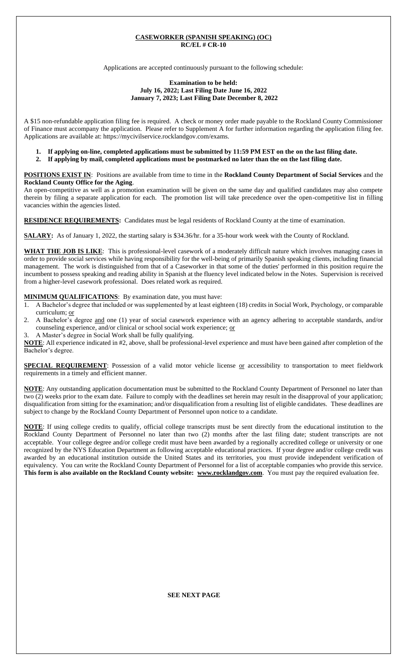#### **CASEWORKER (SPANISH SPEAKING) (OC) RC/EL # CR-10**

Applications are accepted continuously pursuant to the following schedule:

#### **Examination to be held: July 16, 2022; Last Filing Date June 16, 2022 January 7, 2023; Last Filing Date December 8, 2022**

A \$15 non-refundable application filing fee is required. A check or money order made payable to the Rockland County Commissioner of Finance must accompany the application. Please refer to Supplement A for further information regarding the application filing fee. Applications are available at: https://mycivilservice.rocklandgov.com/exams.

- **1. If applying on-line, completed applications must be submitted by 11:59 PM EST on the on the last filing date.**
- **2. If applying by mail, completed applications must be postmarked no later than the on the last filing date.**

**POSITIONS EXIST IN**:Positions are available from time to time in the **Rockland County Department of Social Services** and the **Rockland County Office for the Aging**.

An open-competitive as well as a promotion examination will be given on the same day and qualified candidates may also compete therein by filing a separate application for each. The promotion list will take precedence over the open-competitive list in filling vacancies within the agencies listed.

**RESIDENCE REQUIREMENTS:** Candidates must be legal residents of Rockland County at the time of examination.

**SALARY:** As of January 1, 2022, the starting salary is \$34.36/hr. for a 35-hour work week with the County of Rockland.

**WHAT THE JOB IS LIKE**:This is professional-level casework of a moderately difficult nature which involves managing cases in order to provide social services while having responsibility for the well-being of primarily Spanish speaking clients, including financial management. The work is distinguished from that of a Caseworker in that some of the duties' performed in this position require the incumbent to possess speaking and reading ability in Spanish at the fluency level indicated below in the Notes. Supervision is received from a higher-level casework professional. Does related work as required.

**MINIMUM QUALIFICATIONS**: By examination date, you must have:

- 1. A Bachelor's degree that included or was supplemented by at least eighteen (18) credits in Social Work, Psychology, or comparable curriculum; or
- 2. A Bachelor's degree and one (1) year of social casework experience with an agency adhering to acceptable standards, and/or counseling experience, and/or clinical or school social work experience; or
- 3. A Master's degree in Social Work shall be fully qualifying.

**NOTE**: All experience indicated in #2, above, shall be professional-level experience and must have been gained after completion of the Bachelor's degree.

**SPECIAL REQUIREMENT**: Possession of a valid motor vehicle license or accessibility to transportation to meet fieldwork requirements in a timely and efficient manner.

**NOTE**: Any outstanding application documentation must be submitted to the Rockland County Department of Personnel no later than two (2) weeks prior to the exam date. Failure to comply with the deadlines set herein may result in the disapproval of your application; disqualification from sitting for the examination; and/or disqualification from a resulting list of eligible candidates. These deadlines are subject to change by the Rockland County Department of Personnel upon notice to a candidate.

**NOTE**: If using college credits to qualify, official college transcripts must be sent directly from the educational institution to the Rockland County Department of Personnel no later than two (2) months after the last filing date; student transcripts are not acceptable. Your college degree and/or college credit must have been awarded by a regionally accredited college or university or one recognized by the NYS Education Department as following acceptable educational practices. If your degree and/or college credit was awarded by an educational institution outside the United States and its territories, you must provide independent verification of equivalency. You can write the Rockland County Department of Personnel for a list of acceptable companies who provide this service. **This form is also available on the Rockland County website: www.rocklandgov.com**.You must pay the required evaluation fee.

**SEE NEXT PAGE**